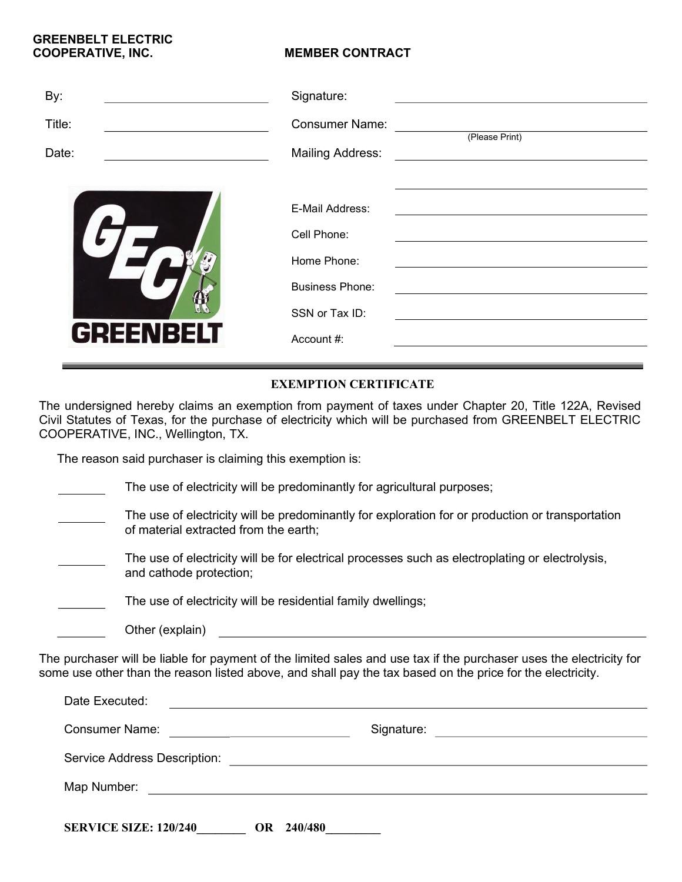## GREENBELT ELECTRIC COOPERATIVE, INC. MEMBER CONTRACT

| Signature:                              |
|-----------------------------------------|
| <b>Consumer Name:</b><br>(Please Print) |
| <b>Mailing Address:</b>                 |
| E-Mail Address:                         |
| Cell Phone:                             |
| Home Phone:                             |
| <b>Business Phone:</b>                  |
| SSN or Tax ID:                          |
| Account #:                              |
|                                         |

## EXEMPTION CERTIFICATE

The undersigned hereby claims an exemption from payment of taxes under Chapter 20, Title 122A, Revised Civil Statutes of Texas, for the purchase of electricity which will be purchased from GREENBELT ELECTRIC COOPERATIVE, INC., Wellington, TX.

The reason said purchaser is claiming this exemption is:

Other (explain)

| The use of electricity will be predominantly for agricultural purposes;                                                                   |
|-------------------------------------------------------------------------------------------------------------------------------------------|
| The use of electricity will be predominantly for exploration for or production or transportation<br>of material extracted from the earth; |
| The use of electricity will be for electrical processes such as electroplating or electrolysis,<br>and cathode protection;                |
| The use of electricity will be residential family dwellings;                                                                              |
|                                                                                                                                           |

The purchaser will be liable for payment of the limited sales and use tax if the purchaser uses the electricity for some use other than the reason listed above, and shall pay the tax based on the price for the electricity.

| Date Executed:                                                                   |                                                                                                                       |  |  |
|----------------------------------------------------------------------------------|-----------------------------------------------------------------------------------------------------------------------|--|--|
| <b>Consumer Name:</b><br><u> 1980 - Jan Stein Berlin, mars and de Brasilia (</u> | Signature:<br>the contract of the contract of the contract of the contract of the contract of                         |  |  |
| Service Address Description:                                                     | <u>and the state of the state of the state of the state of the state of the state of the state of the state of th</u> |  |  |
| Map Number:                                                                      |                                                                                                                       |  |  |
| <b>SERVICE SIZE: 120/240</b><br>240/480<br>OR.                                   |                                                                                                                       |  |  |